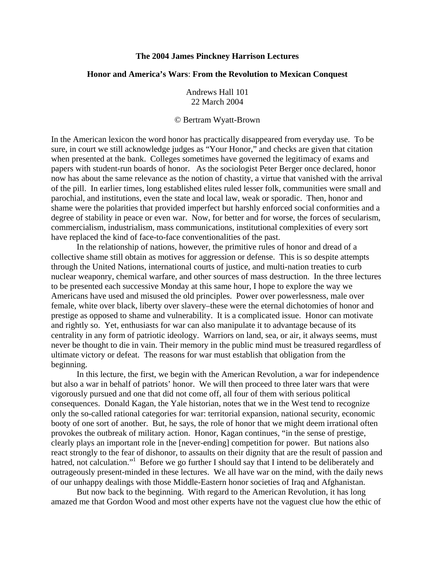## **The 2004 James Pinckney Harrison Lectures**

## **Honor and America's Wars**: **From the Revolution to Mexican Conquest**

Andrews Hall 101 22 March 2004

## © Bertram Wyatt-Brown

In the American lexicon the word honor has practically disappeared from everyday use. To be sure, in court we still acknowledge judges as "Your Honor," and checks are given that citation when presented at the bank. Colleges sometimes have governed the legitimacy of exams and papers with student-run boards of honor. As the sociologist Peter Berger once declared, honor now has about the same relevance as the notion of chastity, a virtue that vanished with the arrival of the pill. In earlier times, long established elites ruled lesser folk, communities were small and parochial, and institutions, even the state and local law, weak or sporadic. Then, honor and shame were the polarities that provided imperfect but harshly enforced social conformities and a degree of stability in peace or even war. Now, for better and for worse, the forces of secularism, commercialism, industrialism, mass communications, institutional complexities of every sort have replaced the kind of face-to-face conventionalities of the past.

 In the relationship of nations, however, the primitive rules of honor and dread of a collective shame still obtain as motives for aggression or defense. This is so despite attempts through the United Nations, international courts of justice, and multi-nation treaties to curb nuclear weaponry, chemical warfare, and other sources of mass destruction. In the three lectures to be presented each successive Monday at this same hour, I hope to explore the way we Americans have used and misused the old principles. Power over powerlessness, male over female, white over black, liberty over slavery–these were the eternal dichotomies of honor and prestige as opposed to shame and vulnerability. It is a complicated issue. Honor can motivate and rightly so. Yet, enthusiasts for war can also manipulate it to advantage because of its centrality in any form of patriotic ideology. Warriors on land, sea, or air, it always seems, must never be thought to die in vain. Their memory in the public mind must be treasured regardless of ultimate victory or defeat. The reasons for war must establish that obligation from the beginning.

 In this lecture, the first, we begin with the American Revolution, a war for independence but also a war in behalf of patriots' honor. We will then proceed to three later wars that were vigorously pursued and one that did not come off, all four of them with serious political consequences. Donald Kagan, the Yale historian, notes that we in the West tend to recognize only the so-called rational categories for war: territorial expansion, national security, economic booty of one sort of another. But, he says, the role of honor that we might deem irrational often provokes the outbreak of military action. Honor, Kagan continues, "in the sense of prestige, clearly plays an important role in the [never-ending] competition for power. But nations also react strongly to the fear of dishonor, to assaults on their dignity that are the result of passion and hatred, not calculation."<sup>1</sup> Before we go further I should say that I intend to be deliberately and outrageously present-minded in these lectures. We all have war on the mind, with the daily news of our unhappy dealings with those Middle-Eastern honor societies of Iraq and Afghanistan.

 But now back to the beginning. With regard to the American Revolution, it has long amazed me that Gordon Wood and most other experts have not the vaguest clue how the ethic of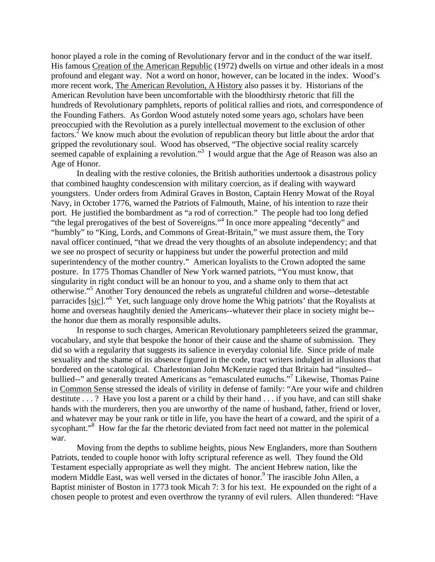honor played a role in the coming of Revolutionary fervor and in the conduct of the war itself. His famous Creation of the American Republic (1972) dwells on virtue and other ideals in a most profound and elegant way. Not a word on honor, however, can be located in the index. Wood's more recent work, The American Revolution, A History also passes it by. Historians of the American Revolution have been uncomfortable with the bloodthirsty rhetoric that fill the hundreds of Revolutionary pamphlets, reports of political rallies and riots, and correspondence of the Founding Fathers. As Gordon Wood astutely noted some years ago, scholars have been preoccupied with the Revolution as a purely intellectual movement to the exclusion of other  $\int$  factors.<sup>2</sup> We know much about the evolution of republican theory but little about the ardor that gripped the revolutionary soul. Wood has observed, "The objective social reality scarcely seemed capable of explaining a revolution."<sup>3</sup> I would argue that the Age of Reason was also an Age of Honor.

 In dealing with the restive colonies, the British authorities undertook a disastrous policy that combined haughty condescension with military coercion, as if dealing with wayward youngsters. Under orders from Admiral Graves in Boston, Captain Henry Mowat of the Royal Navy, in October 1776, warned the Patriots of Falmouth, Maine, of his intention to raze their port. He justified the bombardment as "a rod of correction." The people had too long defied "the legal prerogatives of the best of Sovereigns."<sup>4</sup> In once more appealing "decently" and "humbly" to "King, Lords, and Commons of Great-Britain," we must assure them, the Tory naval officer continued, "that we dread the very thoughts of an absolute independency; and that we see no prospect of security or happiness but under the powerful protection and mild superintendency of the mother country." American loyalists to the Crown adopted the same posture. In 1775 Thomas Chandler of New York warned patriots, "You must know, that singularity in right conduct will be an honour to you, and a shame only to them that act otherwise."5 Another Tory denounced the rebels as ungrateful children and worse--detestable parracides [sic]."<sup>6</sup> Yet, such language only drove home the Whig patriots' that the Royalists at home and overseas haughtily denied the Americans--whatever their place in society might be- the honor due them as morally responsible adults.

 In response to such charges, American Revolutionary pamphleteers seized the grammar, vocabulary, and style that bespoke the honor of their cause and the shame of submission. They did so with a regularity that suggests its salience in everyday colonial life. Since pride of male sexuality and the shame of its absence figured in the code, tract writers indulged in allusions that bordered on the scatological. Charlestonian John McKenzie raged that Britain had "insulted- bullied--" and generally treated Americans as "emasculated eunuchs."<sup>7</sup> Likewise, Thomas Paine in Common Sense stressed the ideals of virility in defense of family: "Are your wife and children destitute . . . ? Have you lost a parent or a child by their hand . . . if you have, and can still shake hands with the murderers, then you are unworthy of the name of husband, father, friend or lover, and whatever may be your rank or title in life, you have the heart of a coward, and the spirit of a sycophant."<sup>8</sup> How far the far the rhetoric deviated from fact need not matter in the polemical war.

 Moving from the depths to sublime heights, pious New Englanders, more than Southern Patriots, tended to couple honor with lofty scriptural reference as well. They found the Old Testament especially appropriate as well they might. The ancient Hebrew nation, like the modern Middle East, was well versed in the dictates of honor.<sup>9</sup> The irascible John Allen, a Baptist minister of Boston in 1773 took Micah 7: 3 for his text. He expounded on the right of a chosen people to protest and even overthrow the tyranny of evil rulers. Allen thundered: "Have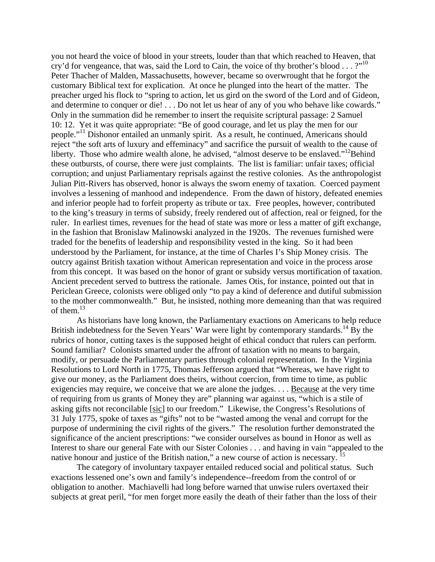you not heard the voice of blood in your streets, louder than that which reached to Heaven, that cry'd for vengeance, that was, said the Lord to Cain, the voice of thy brother's blood . . . ?"<sup>10</sup> Peter Thacher of Malden, Massachusetts, however, became so overwrought that he forgot the customary Biblical text for explication. At once he plunged into the heart of the matter. The preacher urged his flock to "spring to action, let us gird on the sword of the Lord and of Gideon, and determine to conquer or die! . . . Do not let us hear of any of you who behave like cowards." Only in the summation did he remember to insert the requisite scriptural passage: 2 Samuel 10: 12. Yet it was quite appropriate: "Be of good courage, and let us play the men for our people."<sup>11</sup> Dishonor entailed an unmanly spirit. As a result, he continued, Americans should reject "the soft arts of luxury and effeminacy" and sacrifice the pursuit of wealth to the cause of liberty. Those who admire wealth alone, he advised, "almost deserve to be enslaved."<sup>12</sup>Behind these outbursts, of course, there were just complaints. The list is familiar: unfair taxes; official corruption; and unjust Parliamentary reprisals against the restive colonies. As the anthropologist Julian Pitt-Rivers has observed, honor is always the sworn enemy of taxation. Coerced payment involves a lessening of manhood and independence. From the dawn of history, defeated enemies and inferior people had to forfeit property as tribute or tax. Free peoples, however, contributed to the king's treasury in terms of subsidy, freely rendered out of affection, real or feigned, for the ruler. In earliest times, revenues for the head of state was more or less a matter of gift exchange, in the fashion that Bronislaw Malinowski analyzed in the 1920s. The revenues furnished were traded for the benefits of leadership and responsibility vested in the king. So it had been understood by the Parliament, for instance, at the time of Charles I's Ship Money crisis. The outcry against British taxation without American representation and voice in the process arose from this concept. It was based on the honor of grant or subsidy versus mortification of taxation. Ancient precedent served to buttress the rationale. James Otis, for instance, pointed out that in Periclean Greece, colonists were obliged only "to pay a kind of deference and dutiful submission to the mother commonwealth." But, he insisted, nothing more demeaning than that was required of them. $^{13}$ 

 As historians have long known, the Parliamentary exactions on Americans to help reduce British indebtedness for the Seven Years' War were light by contemporary standards.<sup>14</sup> By the rubrics of honor, cutting taxes is the supposed height of ethical conduct that rulers can perform. Sound familiar? Colonists smarted under the affront of taxation with no means to bargain, modify, or persuade the Parliamentary parties through colonial representation. In the Virginia Resolutions to Lord North in 1775, Thomas Jefferson argued that "Whereas, we have right to give our money, as the Parliament does theirs, without coercion, from time to time, as public exigencies may require, we conceive that we are alone the judges. . . . Because at the very time of requiring from us grants of Money they are" planning war against us, "which is a stile of asking gifts not reconcilable [sic] to our freedom." Likewise, the Congress's Resolutions of 31 July 1775, spoke of taxes as "gifts" not to be "wasted among the venal and corrupt for the purpose of undermining the civil rights of the givers." The resolution further demonstrated the significance of the ancient prescriptions: "we consider ourselves as bound in Honor as well as Interest to share our general Fate with our Sister Colonies . . . and having in vain "appealed to the native honour and justice of the British nation," a new course of action is necessary.

 The category of involuntary taxpayer entailed reduced social and political status. Such exactions lessened one's own and family's independence--freedom from the control of or obligation to another. Machiavelli had long before warned that unwise rulers overtaxed their subjects at great peril, "for men forget more easily the death of their father than the loss of their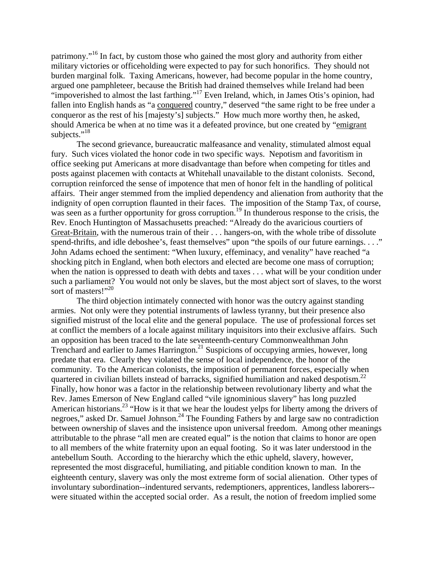patrimony."16 In fact, by custom those who gained the most glory and authority from either military victories or officeholding were expected to pay for such honorifics. They should not burden marginal folk. Taxing Americans, however, had become popular in the home country, argued one pamphleteer, because the British had drained themselves while Ireland had been "impoverished to almost the last farthing."<sup>17</sup> Even Ireland, which, in James Otis's opinion, had fallen into English hands as "a conquered country," deserved "the same right to be free under a conqueror as the rest of his [majesty's] subjects." How much more worthy then, he asked, should America be when at no time was it a defeated province, but one created by "emigrant subjects."<sup>18</sup>

 The second grievance, bureaucratic malfeasance and venality, stimulated almost equal fury. Such vices violated the honor code in two specific ways. Nepotism and favoritism in office seeking put Americans at more disadvantage than before when competing for titles and posts against placemen with contacts at Whitehall unavailable to the distant colonists. Second, corruption reinforced the sense of impotence that men of honor felt in the handling of political affairs. Their anger stemmed from the implied dependency and alienation from authority that the indignity of open corruption flaunted in their faces. The imposition of the Stamp Tax, of course, was seen as a further opportunity for gross corruption.<sup>19</sup> In thunderous response to the crisis, the Rev. Enoch Huntington of Massachusetts preached: "Already do the avaricious courtiers of Great-Britain, with the numerous train of their . . . hangers-on, with the whole tribe of dissolute spend-thrifts, and idle deboshee's, feast themselves" upon "the spoils of our future earnings. . . ." John Adams echoed the sentiment: "When luxury, effeminacy, and venality" have reached "a shocking pitch in England, when both electors and elected are become one mass of corruption; when the nation is oppressed to death with debts and taxes . . . what will be your condition under such a parliament? You would not only be slaves, but the most abject sort of slaves, to the worst sort of masters!"<sup>20</sup>

 The third objection intimately connected with honor was the outcry against standing armies. Not only were they potential instruments of lawless tyranny, but their presence also signified mistrust of the local elite and the general populace. The use of professional forces set at conflict the members of a locale against military inquisitors into their exclusive affairs. Such an opposition has been traced to the late seventeenth-century Commonwealthman John Trenchard and earlier to James Harrington.<sup>21</sup> Suspicions of occupying armies, however, long predate that era. Clearly they violated the sense of local independence, the honor of the community. To the American colonists, the imposition of permanent forces, especially when quartered in civilian billets instead of barracks, signified humiliation and naked despotism.<sup>22</sup> Finally, how honor was a factor in the relationship between revolutionary liberty and what the Rev. James Emerson of New England called "vile ignominious slavery" has long puzzled American historians.<sup>23</sup> "How is it that we hear the loudest yelps for liberty among the drivers of negroes," asked Dr. Samuel Johnson.<sup>24</sup> The Founding Fathers by and large saw no contradiction between ownership of slaves and the insistence upon universal freedom. Among other meanings attributable to the phrase "all men are created equal" is the notion that claims to honor are open to all members of the white fraternity upon an equal footing. So it was later understood in the antebellum South. According to the hierarchy which the ethic upheld, slavery, however, represented the most disgraceful, humiliating, and pitiable condition known to man. In the eighteenth century, slavery was only the most extreme form of social alienation. Other types of involuntary subordination--indentured servants, redemptioners, apprentices, landless laborers- were situated within the accepted social order. As a result, the notion of freedom implied some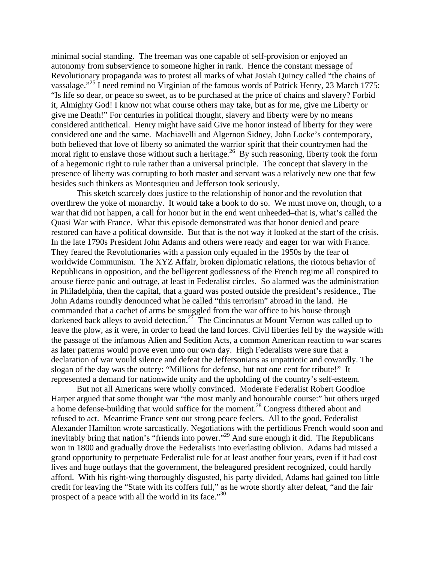minimal social standing. The freeman was one capable of self-provision or enjoyed an autonomy from subservience to someone higher in rank. Hence the constant message of Revolutionary propaganda was to protest all marks of what Josiah Quincy called "the chains of vassalage."<sup>25</sup> I need remind no Virginian of the famous words of Patrick Henry, 23 March 1775: "Is life so dear, or peace so sweet, as to be purchased at the price of chains and slavery? Forbid it, Almighty God! I know not what course others may take, but as for me, give me Liberty or give me Death!" For centuries in political thought, slavery and liberty were by no means considered antithetical. Henry might have said Give me honor instead of liberty for they were considered one and the same. Machiavelli and Algernon Sidney, John Locke's contemporary, both believed that love of liberty so animated the warrior spirit that their countrymen had the moral right to enslave those without such a heritage.<sup>26</sup> By such reasoning, liberty took the form of a hegemonic right to rule rather than a universal principle. The concept that slavery in the presence of liberty was corrupting to both master and servant was a relatively new one that few besides such thinkers as Montesquieu and Jefferson took seriously.

 This sketch scarcely does justice to the relationship of honor and the revolution that overthrew the yoke of monarchy. It would take a book to do so. We must move on, though, to a war that did not happen, a call for honor but in the end went unheeded–that is, what's called the Quasi War with France. What this episode demonstrated was that honor denied and peace restored can have a political downside. But that is the not way it looked at the start of the crisis. In the late 1790s President John Adams and others were ready and eager for war with France. They feared the Revolutionaries with a passion only equaled in the 1950s by the fear of worldwide Communism. The XYZ Affair, broken diplomatic relations, the riotous behavior of Republicans in opposition, and the belligerent godlessness of the French regime all conspired to arouse fierce panic and outrage, at least in Federalist circles. So alarmed was the administration in Philadelphia, then the capital, that a guard was posted outside the president's residence., The John Adams roundly denounced what he called "this terrorism" abroad in the land. He commanded that a cachet of arms be smuggled from the war office to his house through darkened back alleys to avoid detection.<sup>27</sup> The Cincinnatus at Mount Vernon was called up to leave the plow, as it were, in order to head the land forces. Civil liberties fell by the wayside with the passage of the infamous Alien and Sedition Acts, a common American reaction to war scares as later patterns would prove even unto our own day. High Federalists were sure that a declaration of war would silence and defeat the Jeffersonians as unpatriotic and cowardly. The slogan of the day was the outcry: "Millions for defense, but not one cent for tribute!" It represented a demand for nationwide unity and the upholding of the country's self-esteem.

 But not all Americans were wholly convinced. Moderate Federalist Robert Goodloe Harper argued that some thought war "the most manly and honourable course:" but others urged a home defense-building that would suffice for the moment.28 Congress dithered about and refused to act. Meantime France sent out strong peace feelers. All to the good, Federalist Alexander Hamilton wrote sarcastically. Negotiations with the perfidious French would soon and inevitably bring that nation's "friends into power."29 And sure enough it did. The Republicans won in 1800 and gradually drove the Federalists into everlasting oblivion. Adams had missed a grand opportunity to perpetuate Federalist rule for at least another four years, even if it had cost lives and huge outlays that the government, the beleagured president recognized, could hardly afford. With his right-wing thoroughly disgusted, his party divided, Adams had gained too little credit for leaving the "State with its coffers full," as he wrote shortly after defeat, "and the fair prospect of a peace with all the world in its face."<sup>30</sup>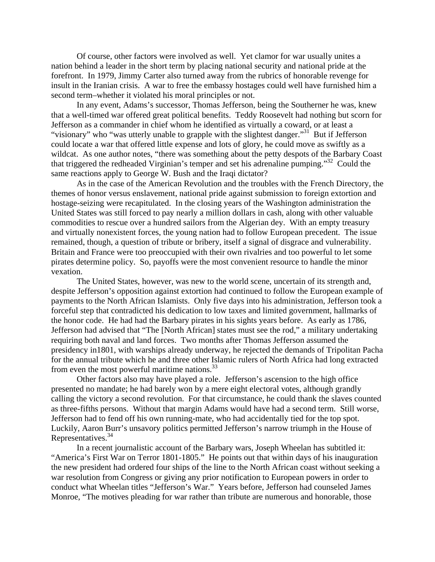Of course, other factors were involved as well. Yet clamor for war usually unites a nation behind a leader in the short term by placing national security and national pride at the forefront. In 1979, Jimmy Carter also turned away from the rubrics of honorable revenge for insult in the Iranian crisis. A war to free the embassy hostages could well have furnished him a second term–whether it violated his moral principles or not.

 In any event, Adams's successor, Thomas Jefferson, being the Southerner he was, knew that a well-timed war offered great political benefits. Teddy Roosevelt had nothing but scorn for Jefferson as a commander in chief whom he identified as virtually a coward, or at least a "visionary" who "was utterly unable to grapple with the slightest danger."<sup>31</sup> But if Jefferson could locate a war that offered little expense and lots of glory, he could move as swiftly as a wildcat. As one author notes, "there was something about the petty despots of the Barbary Coast that triggered the redheaded Virginian's temper and set his adrenaline pumping."32 Could the same reactions apply to George W. Bush and the Iraqi dictator?

 As in the case of the American Revolution and the troubles with the French Directory, the themes of honor versus enslavement, national pride against submission to foreign extortion and hostage-seizing were recapitulated. In the closing years of the Washington administration the United States was still forced to pay nearly a million dollars in cash, along with other valuable commodities to rescue over a hundred sailors from the Algerian dey. With an empty treasury and virtually nonexistent forces, the young nation had to follow European precedent. The issue remained, though, a question of tribute or bribery, itself a signal of disgrace and vulnerability. Britain and France were too preoccupied with their own rivalries and too powerful to let some pirates determine policy. So, payoffs were the most convenient resource to handle the minor vexation.

 The United States, however, was new to the world scene, uncertain of its strength and, despite Jefferson's opposition against extortion had continued to follow the European example of payments to the North African Islamists. Only five days into his administration, Jefferson took a forceful step that contradicted his dedication to low taxes and limited government, hallmarks of the honor code. He had had the Barbary pirates in his sights years before. As early as 1786, Jefferson had advised that "The [North African] states must see the rod," a military undertaking requiring both naval and land forces. Two months after Thomas Jefferson assumed the presidency in1801, with warships already underway, he rejected the demands of Tripolitan Pacha for the annual tribute which he and three other Islamic rulers of North Africa had long extracted from even the most powerful maritime nations.<sup>33</sup>

 Other factors also may have played a role. Jefferson's ascension to the high office presented no mandate; he had barely won by a mere eight electoral votes, although grandly calling the victory a second revolution. For that circumstance, he could thank the slaves counted as three-fifths persons. Without that margin Adams would have had a second term. Still worse, Jefferson had to fend off his own running-mate, who had accidentally tied for the top spot. Luckily, Aaron Burr's unsavory politics permitted Jefferson's narrow triumph in the House of Representatives.34

 In a recent journalistic account of the Barbary wars, Joseph Wheelan has subtitled it: "America's First War on Terror 1801-1805." He points out that within days of his inauguration the new president had ordered four ships of the line to the North African coast without seeking a war resolution from Congress or giving any prior notification to European powers in order to conduct what Wheelan titles "Jefferson's War." Years before, Jefferson had counseled James Monroe, "The motives pleading for war rather than tribute are numerous and honorable, those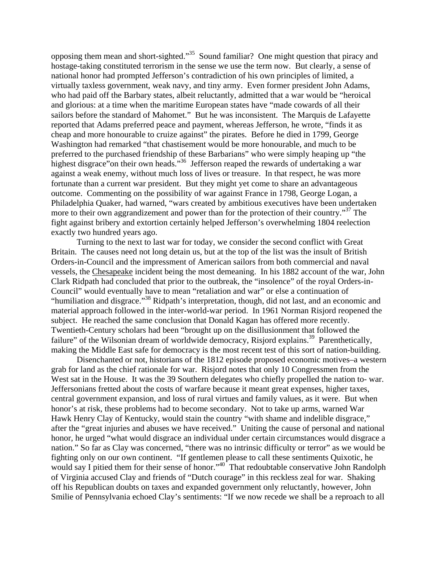opposing them mean and short-sighted."35 Sound familiar? One might question that piracy and hostage-taking constituted terrorism in the sense we use the term now. But clearly, a sense of national honor had prompted Jefferson's contradiction of his own principles of limited, a virtually taxless government, weak navy, and tiny army. Even former president John Adams, who had paid off the Barbary states, albeit reluctantly, admitted that a war would be "heroical and glorious: at a time when the maritime European states have "made cowards of all their sailors before the standard of Mahomet." But he was inconsistent. The Marquis de Lafayette reported that Adams preferred peace and payment, whereas Jefferson, he wrote, "finds it as cheap and more honourable to cruize against" the pirates. Before he died in 1799, George Washington had remarked "that chastisement would be more honourable, and much to be preferred to the purchased friendship of these Barbarians" who were simply heaping up "the highest disgrace" on their own heads."<sup>36</sup> Jefferson reaped the rewards of undertaking a war against a weak enemy, without much loss of lives or treasure. In that respect, he was more fortunate than a current war president. But they might yet come to share an advantageous outcome. Commenting on the possibility of war against France in 1798, George Logan, a Philadelphia Quaker, had warned, "wars created by ambitious executives have been undertaken more to their own aggrandizement and power than for the protection of their country."<sup>37</sup> The fight against bribery and extortion certainly helped Jefferson's overwhelming 1804 reelection exactly two hundred years ago.

 Turning to the next to last war for today, we consider the second conflict with Great Britain. The causes need not long detain us, but at the top of the list was the insult of British Orders-in-Council and the impressment of American sailors from both commercial and naval vessels, the Chesapeake incident being the most demeaning. In his 1882 account of the war, John Clark Ridpath had concluded that prior to the outbreak, the "insolence" of the royal Orders-in-Council" would eventually have to mean "retaliation and war" or else a continuation of "humiliation and disgrace."38 Ridpath's interpretation, though, did not last, and an economic and material approach followed in the inter-world-war period. In 1961 Norman Risjord reopened the subject. He reached the same conclusion that Donald Kagan has offered more recently. Twentieth-Century scholars had been "brought up on the disillusionment that followed the failure" of the Wilsonian dream of worldwide democracy, Risjord explains.<sup>39</sup> Parenthetically, making the Middle East safe for democracy is the most recent test of this sort of nation-building.

 Disenchanted or not, historians of the 1812 episode proposed economic motives–a western grab for land as the chief rationale for war. Risjord notes that only 10 Congressmen from the West sat in the House. It was the 39 Southern delegates who chiefly propelled the nation to- war. Jeffersonians fretted about the costs of warfare because it meant great expenses, higher taxes, central government expansion, and loss of rural virtues and family values, as it were. But when honor's at risk, these problems had to become secondary. Not to take up arms, warned War Hawk Henry Clay of Kentucky, would stain the country "with shame and indelible disgrace," after the "great injuries and abuses we have received." Uniting the cause of personal and national honor, he urged "what would disgrace an individual under certain circumstances would disgrace a nation." So far as Clay was concerned, "there was no intrinsic difficulty or terror" as we would be fighting only on our own continent. "If gentlemen please to call these sentiments Quixotic, he would say I pitied them for their sense of honor."<sup>40</sup> That redoubtable conservative John Randolph of Virginia accused Clay and friends of "Dutch courage" in this reckless zeal for war. Shaking off his Republican doubts on taxes and expanded government only reluctantly, however, John Smilie of Pennsylvania echoed Clay's sentiments: "If we now recede we shall be a reproach to all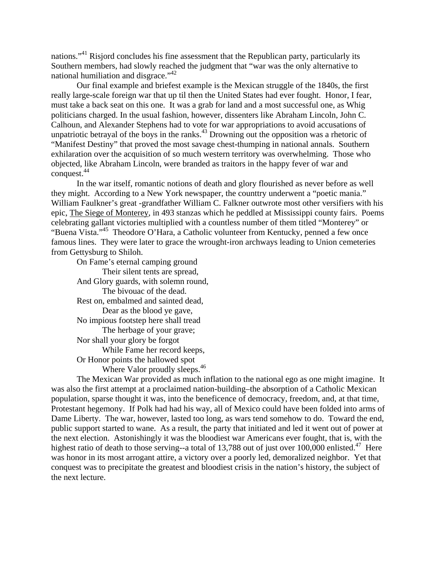nations."41 Risjord concludes his fine assessment that the Republican party, particularly its Southern members, had slowly reached the judgment that "war was the only alternative to national humiliation and disgrace."<sup>42</sup>

 Our final example and briefest example is the Mexican struggle of the 1840s, the first really large-scale foreign war that up til then the United States had ever fought. Honor, I fear, must take a back seat on this one. It was a grab for land and a most successful one, as Whig politicians charged. In the usual fashion, however, dissenters like Abraham Lincoln, John C. Calhoun, and Alexander Stephens had to vote for war appropriations to avoid accusations of unpatriotic betrayal of the boys in the ranks.<sup>43</sup> Drowning out the opposition was a rhetoric of "Manifest Destiny" that proved the most savage chest-thumping in national annals. Southern exhilaration over the acquisition of so much western territory was overwhelming. Those who objected, like Abraham Lincoln, were branded as traitors in the happy fever of war and conquest.<sup>44</sup>

 In the war itself, romantic notions of death and glory flourished as never before as well they might. According to a New York newspaper, the counttry underwent a "poetic mania." William Faulkner's great -grandfather William C. Falkner outwrote most other versifiers with his epic, The Siege of Monterey, in 493 stanzas which he peddled at Mississippi county fairs. Poems celebrating gallant victories multiplied with a countless number of them titled "Monterey" or "Buena Vista."<sup>45</sup> Theodore O'Hara, a Catholic volunteer from Kentucky, penned a few once famous lines. They were later to grace the wrought-iron archways leading to Union cemeteries from Gettysburg to Shiloh.

 On Fame's eternal camping ground Their silent tents are spread, And Glory guards, with solemn round, The bivouac of the dead. Rest on, embalmed and sainted dead, Dear as the blood ye gave, No impious footstep here shall tread The herbage of your grave; Nor shall your glory be forgot While Fame her record keeps, Or Honor points the hallowed spot Where Valor proudly sleeps.<sup>46</sup>

 The Mexican War provided as much inflation to the national ego as one might imagine. It was also the first attempt at a proclaimed nation-building–the absorption of a Catholic Mexican population, sparse thought it was, into the beneficence of democracy, freedom, and, at that time, Protestant hegemony. If Polk had had his way, all of Mexico could have been folded into arms of Dame Liberty. The war, however, lasted too long, as wars tend somehow to do. Toward the end, public support started to wane. As a result, the party that initiated and led it went out of power at the next election. Astonishingly it was the bloodiest war Americans ever fought, that is, with the highest ratio of death to those serving--a total of 13,788 out of just over 100,000 enlisted.<sup>47</sup> Here was honor in its most arrogant attire, a victory over a poorly led, demoralized neighbor. Yet that conquest was to precipitate the greatest and bloodiest crisis in the nation's history, the subject of the next lecture.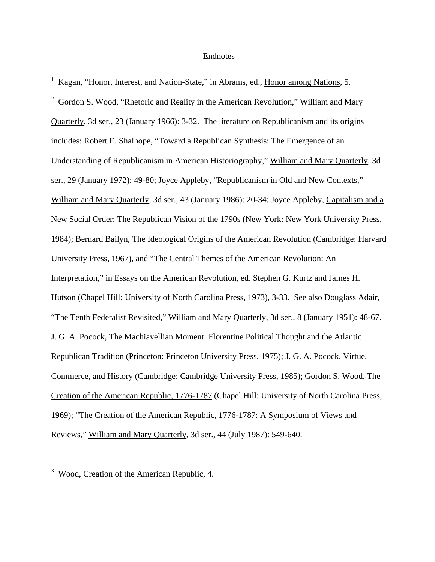## Endnotes

1 Kagan, "Honor, Interest, and Nation-State," in Abrams, ed., Honor among Nations, 5.

 $\overline{a}$ 

<sup>2</sup> Gordon S. Wood, "Rhetoric and Reality in the American Revolution," William and Mary Quarterly, 3d ser., 23 (January 1966): 3-32. The literature on Republicanism and its origins includes: Robert E. Shalhope, "Toward a Republican Synthesis: The Emergence of an Understanding of Republicanism in American Historiography," William and Mary Quarterly, 3d ser., 29 (January 1972): 49-80; Joyce Appleby, "Republicanism in Old and New Contexts," William and Mary Quarterly, 3d ser., 43 (January 1986): 20-34; Joyce Appleby, Capitalism and a New Social Order: The Republican Vision of the 1790s (New York: New York University Press, 1984); Bernard Bailyn, The Ideological Origins of the American Revolution (Cambridge: Harvard University Press, 1967), and "The Central Themes of the American Revolution: An Interpretation," in Essays on the American Revolution, ed. Stephen G. Kurtz and James H. Hutson (Chapel Hill: University of North Carolina Press, 1973), 3-33. See also Douglass Adair, "The Tenth Federalist Revisited," William and Mary Quarterly, 3d ser., 8 (January 1951): 48-67. J. G. A. Pocock, The Machiavellian Moment: Florentine Political Thought and the Atlantic Republican Tradition (Princeton: Princeton University Press, 1975); J. G. A. Pocock, Virtue, Commerce, and History (Cambridge: Cambridge University Press, 1985); Gordon S. Wood, The Creation of the American Republic, 1776-1787 (Chapel Hill: University of North Carolina Press, 1969); "The Creation of the American Republic, 1776-1787: A Symposium of Views and Reviews," William and Mary Quarterly, 3d ser., 44 (July 1987): 549-640.

<sup>3</sup> Wood, Creation of the American Republic, 4.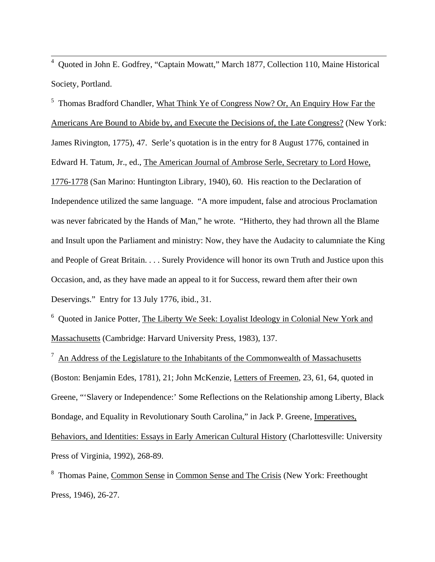4 Quoted in John E. Godfrey, "Captain Mowatt," March 1877, Collection 110, Maine Historical Society, Portland.

<sup>5</sup> Thomas Bradford Chandler, What Think Ye of Congress Now? Or, An Enquiry How Far the Americans Are Bound to Abide by, and Execute the Decisions of, the Late Congress? (New York: James Rivington, 1775), 47. Serle's quotation is in the entry for 8 August 1776, contained in Edward H. Tatum, Jr., ed., The American Journal of Ambrose Serle, Secretary to Lord Howe, 1776-1778 (San Marino: Huntington Library, 1940), 60. His reaction to the Declaration of Independence utilized the same language. "A more impudent, false and atrocious Proclamation was never fabricated by the Hands of Man," he wrote. "Hitherto, they had thrown all the Blame and Insult upon the Parliament and ministry: Now, they have the Audacity to calumniate the King and People of Great Britain. . . . Surely Providence will honor its own Truth and Justice upon this Occasion, and, as they have made an appeal to it for Success, reward them after their own Deservings." Entry for 13 July 1776, ibid., 31.

<sup>6</sup> Quoted in Janice Potter, The Liberty We Seek: Loyalist Ideology in Colonial New York and Massachusetts (Cambridge: Harvard University Press, 1983), 137.

 $\frac{7}{1}$  An Address of the Legislature to the Inhabitants of the Commonwealth of Massachusetts (Boston: Benjamin Edes, 1781), 21; John McKenzie, Letters of Freemen, 23, 61, 64, quoted in Greene, "'Slavery or Independence:' Some Reflections on the Relationship among Liberty, Black Bondage, and Equality in Revolutionary South Carolina," in Jack P. Greene, Imperatives, Behaviors, and Identities: Essays in Early American Cultural History (Charlottesville: University Press of Virginia, 1992), 268-89.

<sup>8</sup> Thomas Paine, Common Sense in Common Sense and The Crisis (New York: Freethought Press, 1946), 26-27.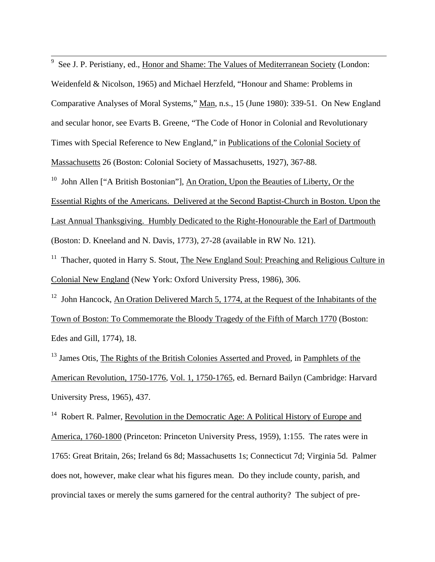<sup>9</sup> See J. P. Peristiany, ed., Honor and Shame: The Values of Mediterranean Society (London:

Weidenfeld & Nicolson, 1965) and Michael Herzfeld, "Honour and Shame: Problems in Comparative Analyses of Moral Systems," Man, n.s., 15 (June 1980): 339-51. On New England and secular honor, see Evarts B. Greene, "The Code of Honor in Colonial and Revolutionary Times with Special Reference to New England," in Publications of the Colonial Society of Massachusetts 26 (Boston: Colonial Society of Massachusetts, 1927), 367-88.

<sup>10</sup> John Allen ["A British Bostonian"], An Oration, Upon the Beauties of Liberty, Or the Essential Rights of the Americans. Delivered at the Second Baptist-Church in Boston. Upon the Last Annual Thanksgiving. Humbly Dedicated to the Right-Honourable the Earl of Dartmouth (Boston: D. Kneeland and N. Davis, 1773), 27-28 (available in RW No. 121).

<sup>11</sup> Thacher, quoted in Harry S. Stout, The New England Soul: Preaching and Religious Culture in Colonial New England (New York: Oxford University Press, 1986), 306.

<sup>12</sup> John Hancock, An Oration Delivered March 5, 1774, at the Request of the Inhabitants of the Town of Boston: To Commemorate the Bloody Tragedy of the Fifth of March 1770 (Boston: Edes and Gill, 1774), 18.

<sup>13</sup> James Otis, The Rights of the British Colonies Asserted and Proved, in Pamphlets of the American Revolution, 1750-1776, Vol. 1, 1750-1765, ed. Bernard Bailyn (Cambridge: Harvard University Press, 1965), 437.

<sup>14</sup> Robert R. Palmer, Revolution in the Democratic Age: A Political History of Europe and America, 1760-1800 (Princeton: Princeton University Press, 1959), 1:155. The rates were in 1765: Great Britain, 26s; Ireland 6s 8d; Massachusetts 1s; Connecticut 7d; Virginia 5d. Palmer does not, however, make clear what his figures mean. Do they include county, parish, and provincial taxes or merely the sums garnered for the central authority? The subject of pre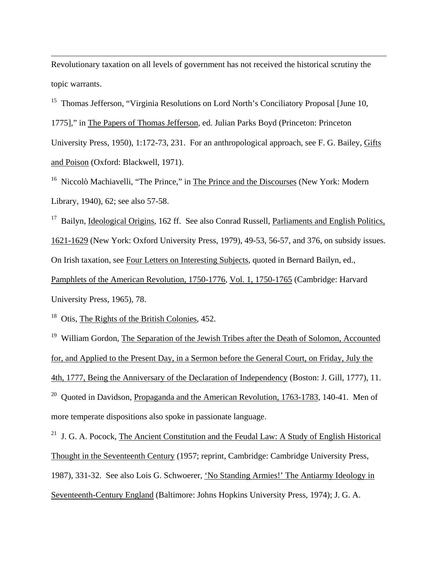Revolutionary taxation on all levels of government has not received the historical scrutiny the topic warrants.

<sup>15</sup> Thomas Jefferson, "Virginia Resolutions on Lord North's Conciliatory Proposal [June 10, 1775]," in The Papers of Thomas Jefferson, ed. Julian Parks Boyd (Princeton: Princeton University Press, 1950), 1:172-73, 231. For an anthropological approach, see F. G. Bailey, Gifts and Poison (Oxford: Blackwell, 1971).

<sup>16</sup> Niccolò Machiavelli, "The Prince," in The Prince and the Discourses (New York: Modern Library, 1940), 62; see also 57-58.

<sup>17</sup> Bailyn, Ideological Origins, 162 ff. See also Conrad Russell, Parliaments and English Politics, 1621-1629 (New York: Oxford University Press, 1979), 49-53, 56-57, and 376, on subsidy issues. On Irish taxation, see Four Letters on Interesting Subjects, quoted in Bernard Bailyn, ed., Pamphlets of the American Revolution, 1750-1776, Vol. 1, 1750-1765 (Cambridge: Harvard University Press, 1965), 78.

<sup>18</sup> Otis, The Rights of the British Colonies, 452.

 $\overline{a}$ 

<sup>19</sup> William Gordon, The Separation of the Jewish Tribes after the Death of Solomon, Accounted for, and Applied to the Present Day, in a Sermon before the General Court, on Friday, July the 4th, 1777, Being the Anniversary of the Declaration of Independency (Boston: J. Gill, 1777), 11.

<sup>20</sup> Ouoted in Davidson, Propaganda and the American Revolution, 1763-1783, 140-41. Men of more temperate dispositions also spoke in passionate language.

<sup>21</sup> J. G. A. Pocock, The Ancient Constitution and the Feudal Law: A Study of English Historical Thought in the Seventeenth Century (1957; reprint, Cambridge: Cambridge University Press, 1987), 331-32. See also Lois G. Schwoerer, 'No Standing Armies!' The Antiarmy Ideology in Seventeenth-Century England (Baltimore: Johns Hopkins University Press, 1974); J. G. A.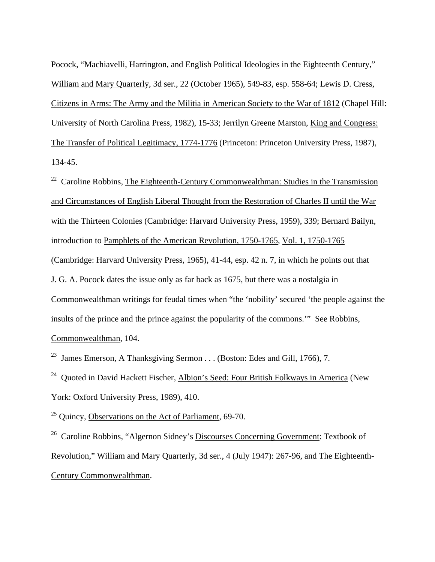Pocock, "Machiavelli, Harrington, and English Political Ideologies in the Eighteenth Century," William and Mary Quarterly, 3d ser., 22 (October 1965), 549-83, esp. 558-64; Lewis D. Cress, Citizens in Arms: The Army and the Militia in American Society to the War of 1812 (Chapel Hill: University of North Carolina Press, 1982), 15-33; Jerrilyn Greene Marston, King and Congress: The Transfer of Political Legitimacy, 1774-1776 (Princeton: Princeton University Press, 1987), 134-45.

<sup>22</sup> Caroline Robbins, The Eighteenth-Century Commonwealthman: Studies in the Transmission and Circumstances of English Liberal Thought from the Restoration of Charles II until the War with the Thirteen Colonies (Cambridge: Harvard University Press, 1959), 339; Bernard Bailyn, introduction to Pamphlets of the American Revolution, 1750-1765, Vol. 1, 1750-1765 (Cambridge: Harvard University Press, 1965), 41-44, esp. 42 n. 7, in which he points out that J. G. A. Pocock dates the issue only as far back as 1675, but there was a nostalgia in Commonwealthman writings for feudal times when "the 'nobility' secured 'the people against the insults of the prince and the prince against the popularity of the commons.'" See Robbins, Commonwealthman, 104.

<sup>23</sup> James Emerson, A Thanksgiving Sermon . . . (Boston: Edes and Gill, 1766), 7.

<sup>24</sup> Quoted in David Hackett Fischer, Albion's Seed: Four British Folkways in America (New York: Oxford University Press, 1989), 410.

 $25$  Quincy, Observations on the Act of Parliament, 69-70.

 $\overline{a}$ 

26 Caroline Robbins, "Algernon Sidney's Discourses Concerning Government: Textbook of Revolution," William and Mary Quarterly, 3d ser., 4 (July 1947): 267-96, and The Eighteenth-Century Commonwealthman.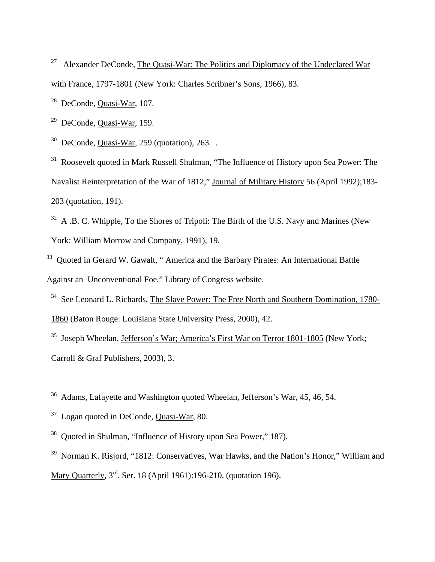<sup>27</sup> Alexander DeConde, The Quasi-War: The Politics and Diplomacy of the Undeclared War with France, 1797-1801 (New York: Charles Scribner's Sons, 1966), 83.

28 DeConde, Quasi-War, 107.

29 DeConde, Quasi-War, 159.

 $30$  DeConde, Quasi-War, 259 (quotation), 263. .

<sup>31</sup> Roosevelt quoted in Mark Russell Shulman, "The Influence of History upon Sea Power: The Navalist Reinterpretation of the War of 1812," Journal of Military History 56 (April 1992);183- 203 (quotation, 191).

 $32$  A .B. C. Whipple, To the Shores of Tripoli: The Birth of the U.S. Navy and Marines (New York: William Morrow and Company, 1991), 19.

<sup>33</sup> Ouoted in Gerard W. Gawalt, "America and the Barbary Pirates: An International Battle Against an Unconventional Foe," Library of Congress website.

<sup>34</sup> See Leonard L. Richards, The Slave Power: The Free North and Southern Domination, 1780-1860 (Baton Rouge: Louisiana State University Press, 2000), 42.

35 Joseph Wheelan, Jefferson's War; America's First War on Terror 1801-1805 (New York; Carroll & Graf Publishers, 2003), 3.

36 Adams, Lafayette and Washington quoted Wheelan, Jefferson's War, 45, 46, 54.

37 Logan quoted in DeConde, Quasi-War, 80.

38 Quoted in Shulman, "Influence of History upon Sea Power," 187).

<sup>39</sup> Norman K. Risjord, "1812: Conservatives, War Hawks, and the Nation's Honor," William and Mary Quarterly,  $3<sup>rd</sup>$ . Ser. 18 (April 1961):196-210, (quotation 196).